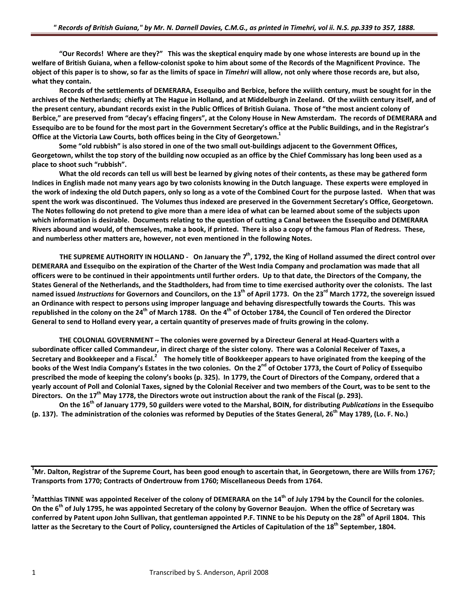"Our Records! Where are they?" This was the skeptical enguiry made by one whose interests are bound up in the welfare of British Guiana, when a fellow-colonist spoke to him about some of the Records of the Magnificent Province. The object of this paper is to show, so far as the limits of space in Timehri will allow, not only where those records are, but also, **what they contain.**

Records of the settlements of DEMERARA, Essequibo and Berbice, before the xviiith century, must be sought for in the archives of the Netherlands; chiefly at The Hague in Holland, and at Middelburgh in Zeeland. Of the xviiith century itself, and of the present century, abundant records exist in the Public Offices of British Guiana. Those of "the most ancient colony of Berbice," are preserved from "decay's effacing fingers", at the Colony House in New Amsterdam. The records of DEMERARA and Essequibo are to be found for the most part in the Government Secretary's office at the Public Buildings, and in the Registrar's **Office at the Victoria Law Courts, both offices being in the City of Georgetown.1**

Some "old rubbish" is also stored in one of the two small out-buildings adjacent to the Government Offices, Georgetown, whilst the top story of the building now occupied as an office by the Chief Commissary has long been used as a **place to shoot such "rubbish".**

What the old records can tell us will best be learned by giving notes of their contents, as these may be gathered form Indices in English made not many years ago by two colonists knowing in the Dutch language. These experts were employed in the work of indexing the old Dutch papers, only so long as a vote of the Combined Court for the purpose lasted. When that was spent the work was discontinued. The Volumes thus indexed are preserved in the Government Secretary's Office, Georgetown. The Notes following do not pretend to give more than a mere idea of what can be learned about some of the subjects upon which information is desirable. Documents relating to the question of cutting a Canal between the Essequibo and DEMERARA Rivers abound and would, of themselves, make a book, if printed. There is also a copy of the famous Plan of Redress. These, **and numberless other matters are, however, not even mentioned in the following Notes.**

THE SUPREME AUTHORITY IN HOLLAND - On January the  $7<sup>th</sup>$ , 1792, the King of Holland assumed the direct control over DEMERARA and Essequibo on the expiration of the Charter of the West India Company and proclamation was made that all officers were to be continued in their appointments until further orders. Up to that date, the Directors of the Company, the States General of the Netherlands, and the Stadtholders, had from time to time exercised authority over the colonists. The last named issued *Instructions* for Governors and Councilors, on the 13<sup>th</sup> of April 1773. On the 23<sup>rd</sup> March 1772, the sovereign issued an Ordinance with respect to persons using improper language and behaving disrespectfully towards the Courts. This was republished in the colony on the 24<sup>th</sup> of March 1788. On the 4<sup>th</sup> of October 1784, the Council of Ten ordered the Director General to send to Holland every year, a certain quantity of preserves made of fruits growing in the colony.

THE COLONIAL GOVERNMENT - The colonies were governed by a Directeur General at Head-Quarters with a subordinate officer called Commandeur, in direct charge of the sister colony. There was a Colonial Receiver of Taxes, a Secretary and Bookkeeper and a Fiscal.<sup>2</sup> The homely title of Bookkeeper appears to have originated from the keeping of the books of the West India Company's Estates in the two colonies. On the 2<sup>nd</sup> of October 1773, the Court of Policy of Essequibo prescribed the mode of keeping the colony's books (p. 325). In 1779, the Court of Directors of the Company, ordered that a yearly account of Poll and Colonial Taxes, signed by the Colonial Receiver and two members of the Court, was to be sent to the Directors. On the 17<sup>th</sup> May 1778, the Directors wrote out instruction about the rank of the Fiscal (p. 293).

On the 16<sup>th</sup> of January 1779, 50 guilders were voted to the Marshal, BOIN, for distributing *Publications* in the Essequibo (p. 137). The administration of the colonies was reformed by Deputies of the States General, 26<sup>th</sup> May 1789, (Lo. F. No.)

 $^1$ Mr. Dalton, Registrar of the Supreme Court, has been good enough to ascertain that, in Georgetown, there are Wills from 1767; **Transports from 1770; Contracts of Ondertrouw from 1760; Miscellaneous Deeds from 1764.**

 $^2$ Matthias TINNE was appointed Receiver of the colony of DEMERARA on the 14<sup>th</sup> of July 1794 by the Council for the colonies. On the 6<sup>th</sup> of July 1795, he was appointed Secretary of the colony by Governor Beaujon. When the office of Secretary was conferred by Patent upon John Sullivan, that gentleman appointed P.F. TINNE to be his Deputy on the 28<sup>th</sup> of April 1804. This latter as the Secretary to the Court of Policy, countersigned the Articles of Capitulation of the 18<sup>th</sup> September, 1804.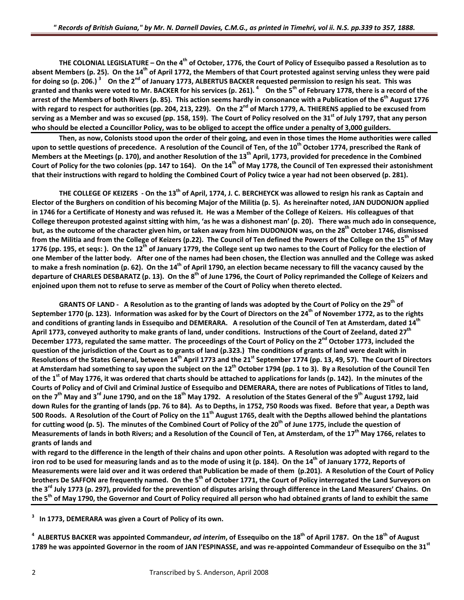THE COLONIAL LEGISLATURE - On the  $4^{th}$  of October, 1776, the Court of Policy of Essequibo passed a Resolution as to absent Members (p. 25). On the 14<sup>th</sup> of April 1772, the Members of that Court protested against serving unless they were paid for doing so (p. 206.) <sup>3</sup> On the 2<sup>nd</sup> of January 1773, ALBERTUS BACKER requested permission to resign his seat. This was granted and thanks were voted to Mr. BACKER for his services (p. 261). <sup>4</sup> On the 5<sup>th</sup> of February 1778, there is a record of the arrest of the Members of both Rivers (p. 85). This action seems hardly in consonance with a Publication of the 6<sup>th</sup> August 1776 with regard to respect for authorities (pp. 204, 213, 229). On the 2<sup>nd</sup> of March 1779, A. THIERENS applied to be excused from serving as a Member and was so excused (pp. 158, 159). The Court of Policy resolved on the 31<sup>st</sup> of July 1797, that any person who should be elected a Councillor Policy, was to be obliged to accept the office under a penalty of 3,000 guilders.

Then, as now, Colonists stood upon the order of their going, and even in those times the Home authorities were called upon to settle questions of precedence. A resolution of the Council of Ten, of the 10<sup>th</sup> October 1774, prescribed the Rank of Members at the Meetings (p. 170), and another Resolution of the 13<sup>th</sup> April, 1773, provided for precedence in the Combined Court of Policy for the two colonies (pp. 147 to 164). On the 14<sup>th</sup> of May 1778, the Council of Ten expressed their astonishment that their instructions with regard to holding the Combined Court of Policy twice a year had not been observed (p. 281).

THE COLLEGE OF KEIZERS - On the 13<sup>th</sup> of April, 1774, J. C. BERCHEYCK was allowed to resign his rank as Captain and Elector of the Burghers on condition of his becoming Major of the Militia (p. 5). As hereinafter noted, JAN DUDONJON applied in 1746 for a Certificate of Honesty and was refused it. He was a Member of the College of Keizers. His colleagues of that College thereupon protested against sitting with him, 'as he was a dishonest man' (p. 20). There was much ado in consequence, but, as the outcome of the character given him, or taken away from him DUDONJON was, on the 28<sup>th</sup> October 1746, dismissed from the Militia and from the College of Keizers (p.22). The Council of Ten defined the Powers of the College on the 15<sup>th</sup> of May 1776 (pp. 195, et segs:). On the 12<sup>th</sup> of January 1779, the College sent up two names to the Court of Policy for the election of one Member of the latter body. After one of the names had been chosen, the Election was annulled and the College was asked to make a fresh nomination (p. 62). On the 14<sup>th</sup> of April 1790, an election became necessary to fill the vacancy caused by the departure of CHARLES DESBARATZ (p. 13). On the 8<sup>th</sup> of June 1796, the Court of Policy reprimanded the College of Keizers and **enjoined upon them not to refuse to serve as member of the Court of Policy when thereto elected.**

GRANTS OF LAND - A Resolution as to the granting of lands was adopted by the Court of Policy on the 29<sup>th</sup> of September 1770 (p. 123). Information was asked for by the Court of Directors on the 24<sup>th</sup> of November 1772, as to the rights and conditions of granting lands in Essequibo and DEMERARA. A resolution of the Council of Ten at Amsterdam, dated 14<sup>th</sup> April 1773, conveyed authority to make grants of land, under conditions. Instructions of the Court of Zeeland, dated 27<sup>th</sup> December 1773, regulated the same matter. The proceedings of the Court of Policy on the 2<sup>nd</sup> October 1773, included the question of the jurisdiction of the Court as to grants of land (p.323.) The conditions of grants of land were dealt with in Resolutions of the States General, between 14<sup>th</sup> April 1773 and the 21<sup>st</sup> September 1774 (pp. 13, 49, 57). The Court of Directors at Amsterdam had something to say upon the subject on the 12<sup>th</sup> October 1794 (pp. 1 to 3). By a Resolution of the Council Ten of the 1<sup>st</sup> of May 1776, it was ordered that charts should be attached to applications for lands (p. 142). In the minutes of the Courts of Policy and of Civil and Criminal Justice of Essequibo and DEMERARA, there are notes of Publications of Titles to land, on the 7<sup>th</sup> May and 3<sup>rd</sup> June 1790, and on the 18<sup>th</sup> May 1792. A resolution of the States General of the 9<sup>th</sup> August 1792, laid down Rules for the granting of lands (pp. 76 to 84). As to Depths, in 1752, 750 Roods was fixed. Before that year, a Depth was 500 Roods. A Resolution of the Court of Policy on the 11<sup>th</sup> August 1765, dealt with the Depths allowed behind the plantations for cutting wood (p. 5). The minutes of the Combined Court of Policy of the 20<sup>th</sup> of June 1775, include the question of Measurements of lands in both Rivers; and a Resolution of the Council of Ten, at Amsterdam, of the 17<sup>th</sup> May 1766, relates to **grants of lands and** 

with regard to the difference in the length of their chains and upon other points. A Resolution was adopted with regard to the iron rod to be used for measuring lands and as to the mode of using it (p. 184). On the 14<sup>th</sup> of January 1772, Reports of Measurements were laid over and it was ordered that Publication be made of them (p.201). A Resolution of the Court of Policy brothers De SAFFON are frequently named. On the 5<sup>th</sup> of October 1771, the Court of Policy interrogated the Land Surveyors on the 3<sup>rd</sup> July 1773 (p. 297), provided for the prevention of disputes arising through difference in the Land Measurers' Chains. On the 5<sup>th</sup> of May 1790, the Governor and Court of Policy required all person who had obtained grants of land to exhibit the same

**3 In 1773, DEMERARA was given a Court of Policy of its own.**

<sup>4</sup> ALBERTUS BACKER was appointed Commandeur, ad interim, of Essequibo on the 18<sup>th</sup> of April 1787. On the 18<sup>th</sup> of August 1789 he was appointed Governor in the room of JAN I'ESPINASSE, and was re-appointed Commandeur of Essequibo on the 31<sup>st</sup>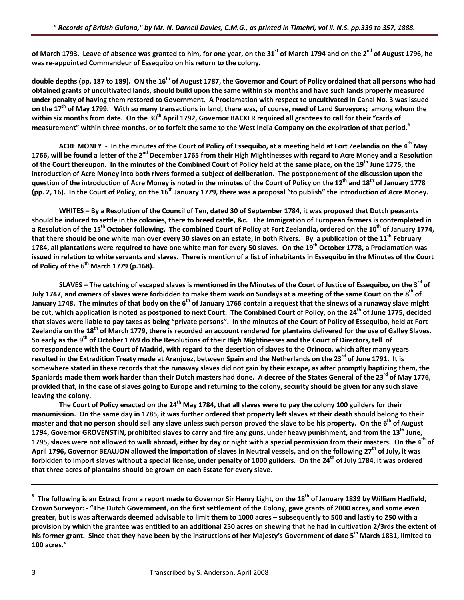of March 1793. Leave of absence was granted to him, for one year, on the 31<sup>st</sup> of March 1794 and on the 2<sup>nd</sup> of August 1796, he **was re‐appointed Commandeur of Essequibo on his return to the colony.**

double depths (pp. 187 to 189). ON the 16<sup>th</sup> of August 1787, the Governor and Court of Policy ordained that all persons who had obtained grants of uncultivated lands, should build upon the same within six months and have such lands properly measured under penalty of having them restored to Government. A Proclamation with respect to uncultivated in Canal No. 3 was issued on the 17<sup>th</sup> of May 1799. With so many transactions in land, there was, of course, need of Land Surveyors; among whom the within six months from date. On the 30<sup>th</sup> April 1792, Governor BACKER required all grantees to call for their "cards of measurement" within three months, or to forfeit the same to the West India Company on the expiration of that period.<sup>5</sup>

ACRE MONEY - In the minutes of the Court of Policy of Essequibo, at a meeting held at Fort Zeelandia on the 4<sup>th</sup> May 1766, will be found a letter of the 2<sup>nd</sup> December 1765 from their High Mightinesses with regard to Acre Money and a Resolution of the Court thereupon. In the minutes of the Combined Court of Policy held at the same place, on the 19<sup>th</sup> June 1775, the introduction of Acre Money into both rivers formed a subject of deliberation. The postponement of the discussion upon the question of the introduction of Acre Money is noted in the minutes of the Court of Policy on the 12<sup>th</sup> and 18<sup>th</sup> of January 1778 (pp. 2, 16). In the Court of Policy, on the 16<sup>th</sup> January 1779, there was a proposal "to publish" the introduction of Acre Money.

WHITES - By a Resolution of the Council of Ten, dated 30 of September 1784, it was proposed that Dutch peasants should be induced to settle in the colonies, there to breed cattle, &c. The Immigration of European farmers is contemplated in a Resolution of the 15<sup>th</sup> October following. The combined Court of Policy at Fort Zeelandia, ordered on the 10<sup>th</sup> of January 1774, that there should be one white man over every 30 slaves on an estate, in both Rivers. By a publication of the 11<sup>th</sup> February 1784, all plantations were required to have one white man for every 50 slaves. On the 19<sup>th</sup> October 1778, a Proclamation was issued in relation to white servants and slaves. There is mention of a list of inhabitants in Essequibo in the Minutes of the Court **of Policy of the 6th March 1779 (p.168).**

SLAVES – The catching of escaped slaves is mentioned in the Minutes of the Court of Justice of Essequibo, on the 3<sup>rd</sup> of July 1747, and owners of slaves were forbidden to make them work on Sundays at a meeting of the same Court on the 8th January 1748. The minutes of that body on the 6<sup>th</sup> of January 1766 contain a request that the sinews of a runaway slave might be cut, which application is noted as postponed to next Court. The Combined Court of Policy, on the 24<sup>th</sup> of June 1775, decided that slaves were liable to pay taxes as being "private persons". In the minutes of the Court of Policy of Essequibo, held at Fort Zeelandia on the 18<sup>th</sup> of March 1779, there is recorded an account rendered for plantains delivered for the use of Galley Slaves. So early as the 9<sup>th</sup> of October 1769 do the Resolutions of their High Mightinesses and the Court of Directors, tell of correspondence with the Court of Madrid, with regard to the desertion of slaves to the Orinoco, which after many years resulted in the Extradition Treaty made at Aranjuez, between Spain and the Netherlands on the 23<sup>rd</sup> of June 1791. It is somewhere stated in these records that the runaway slaves did not gain by their escape, as after promptly baptizing them, the Spaniards made them work harder than their Dutch masters had done. A decree of the States General of the 23<sup>rd</sup> of May 1776, provided that, in the case of slaves going to Europe and returning to the colony, security should be given for any such slave **leaving the colony.**

The Court of Policy enacted on the 24<sup>th</sup> May 1784, that all slaves were to pay the colony 100 guilders for their manumission. On the same day in 1785, it was further ordered that property left slaves at their death should belong to their master and that no person should sell any slave unless such person proved the slave to be his property. On the 6<sup>th</sup> of August 1794, Governor GROVENSTIN, prohibited slaves to carry and fire any guns, under heavy punishment, and from the 13<sup>th</sup> June, 1795, slaves were not allowed to walk abroad, either by day or night with a special permission from their masters. On the 4<sup>th</sup> of April 1796, Governor BEAUJON allowed the importation of slaves in Neutral vessels, and on the following 27<sup>th</sup> of July, it was forbidden to import slaves without a special license, under penalty of 1000 guilders. On the 24<sup>th</sup> of July 1784, it was ordered **that three acres of plantains should be grown on each Estate for every slave.**

 $^5$  The following is an Extract from a report made to Governor Sir Henry Light, on the 18<sup>th</sup> of January 1839 by William Hadfield, Crown Surveyor: - "The Dutch Government, on the first settlement of the Colony, gave grants of 2000 acres, and some even greater, but is was afterwards deemed advisable to limit them to 1000 acres - subsequently to 500 and lastly to 250 with a provision by which the grantee was entitled to an additional 250 acres on shewing that he had in cultivation 2/3rds the extent of his former grant. Since that they have been by the instructions of her Majesty's Government of date 5<sup>th</sup> March 1831, limited to **100 acres."**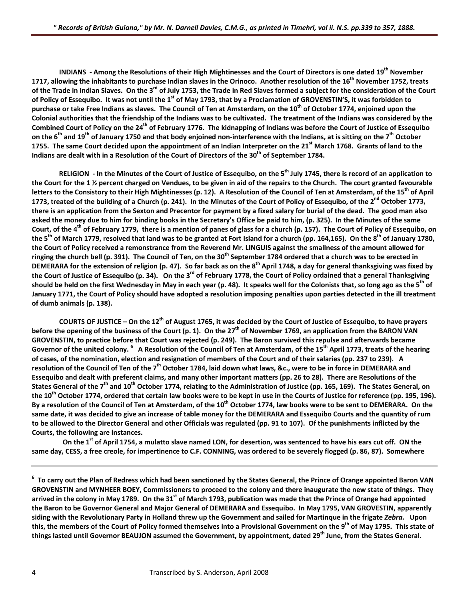INDIANS - Among the Resolutions of their High Mightinesses and the Court of Directors is one dated 19<sup>th</sup> November 1717, allowing the inhabitants to purchase Indian slaves in the Orinoco. Another resolution of the 16<sup>th</sup> November 1752, treats of the Trade in Indian Slaves. On the 3<sup>rd</sup> of July 1753, the Trade in Red Slaves formed a subject for the consideration of the Court of Policy of Essequibo. It was not until the 1<sup>st</sup> of May 1793, that by a Proclamation of GROVENSTIN'S, it was forbidden to purchase or take Free Indians as slaves. The Council of Ten at Amsterdam, on the 10<sup>th</sup> of October 1774, enjoined upon the Colonial authorities that the friendship of the Indians was to be cultivated. The treatment of the Indians was considered by the Combined Court of Policy on the 24<sup>th</sup> of February 1776. The kidnapping of Indians was before the Court of Justice of Essequibo on the 6<sup>th</sup> and 19<sup>th</sup> of January 1750 and that body enjoined non-interference with the Indians, at is sitting on the 7<sup>th</sup> October 1755. The same Court decided upon the appointment of an Indian Interpreter on the 21<sup>st</sup> March 1768. Grants of land to the **Indians are dealt with in a Resolution of the Court of Directors of the 30th of September 1784.**

RELIGION - In the Minutes of the Court of Justice of Esseguibo, on the 5<sup>th</sup> July 1745, there is record of an application to the Court for the 1 % percent charged on Vendues, to be given in aid of the repairs to the Church. The court granted favourable letters to the Consistory to their High Mightinesses (p. 12). A Resolution of the Council of Ten at Amsterdam, of the 15<sup>th</sup> of April 1773, treated of the building of a Church (p. 241). In the Minutes of the Court of Policy of Essequibo, of the 2<sup>nd</sup> October 1773, there is an application from the Sexton and Precentor for payment by a fixed salary for burial of the dead. The good man also asked the money due to him for binding books in the Secretary's Office be paid to him, (p. 325). In the Minutes of the same Court, of the 4<sup>th</sup> of February 1779, there is a mention of panes of glass for a church (p. 157). The Court of Policy of Essequibo, on the 5<sup>th</sup> of March 1779, resolved that land was to be granted at Fort Island for a church (pp. 164,165). On the 8<sup>th</sup> of January 1780, the Court of Policy received a remonstrance from the Reverend Mr. LINGUIS against the smallness of the amount allowed for ringing the church bell (p. 391). The Council of Ten, on the 30<sup>th</sup> September 1784 ordered that a church was to be erected in DEMERARA for the extension of religion (p. 47). So far back as on the 8<sup>th</sup> April 1748, a day for general thanksgiving was fixed by the Court of Justice of Essequibo (p. 34). On the  $3^{rd}$  of February 1778, the Court of Policy ordained that a general Thanksgiving should be held on the first Wednesday in May in each year (p. 48). It speaks well for the Colonists that, so long ago as the 5<sup>th</sup> of January 1771, the Court of Policy should have adopted a resolution imposing penalties upon parties detected in the ill treatment **of dumb animals (p. 138).**

COURTS OF JUSTICE – On the  $12^{th}$  of August 1765, it was decided by the Court of Justice of Essequibo, to have prayers before the opening of the business of the Court (p. 1). On the  $27<sup>th</sup>$  of November 1769, an application from the BARON VAN GROVENSTIN, to practice before that Court was rejected (p. 249). The Baron survived this repulse and afterwards became Governor of the united colony. <sup>6</sup> A Resolution of the Council of Ten at Amsterdam, of the 15<sup>th</sup> April 1773, treats of the hearing of cases, of the nomination, election and resignation of members of the Court and of their salaries (pp. 237 to 239). A resolution of the Council of Ten of the 7<sup>th</sup> October 1784, laid down what laws, &c., were to be in force in DEMERARA and Essequibo and dealt with preferent claims, and many other important matters (pp. 26 to 28). There are Resolutions of the States General of the 7<sup>th</sup> and 10<sup>th</sup> October 1774, relating to the Administration of Justice (pp. 165, 169). The States General, on the 10<sup>th</sup> October 1774, ordered that certain law books were to be kept in use in the Courts of Justice for reference (pp. 195, 196). By a resolution of the Council of Ten at Amsterdam, of the 10<sup>th</sup> October 1774, law books were to be sent to DEMERARA. On the same date, it was decided to give an increase of table money for the DEMERARA and Essequibo Courts and the quantity of rum to be allowed to the Director General and other Officials was regulated (pp. 91 to 107). Of the punishments inflicted by the **Courts, the following are instances.**

On the 1<sup>st</sup> of April 1754, a mulatto slave named LON, for desertion, was sentenced to have his ears cut off. ON the same day, CESS, a free creole, for impertinence to C.F. CONNING, was ordered to be severely flogged (p. 86, 87). Somewhere

 $^6$  To carry out the Plan of Redress which had been sanctioned by the States General, the Prince of Orange appointed Baron VAN GROVENSTIN and MYNHEER BOEY, Commissioners to proceed to the colony and there inaugurate the new state of things. They arrived in the colony in May 1789. On the 31<sup>st</sup> of March 1793, publication was made that the Prince of Orange had appointed the Baron to be Governor General and Major General of DEMERARA and Essequibo. In May 1795, VAN GROVESTIN, apparently siding with the Revolutionary Party in Holland threw up the Government and sailed for Martingue in the frigate Zebra. Upon this, the members of the Court of Policy formed themselves into a Provisional Government on the 9<sup>th</sup> of May 1795. This state of things lasted until Governor BEAUJON assumed the Government, by appointment, dated 29<sup>th</sup> June, from the States General.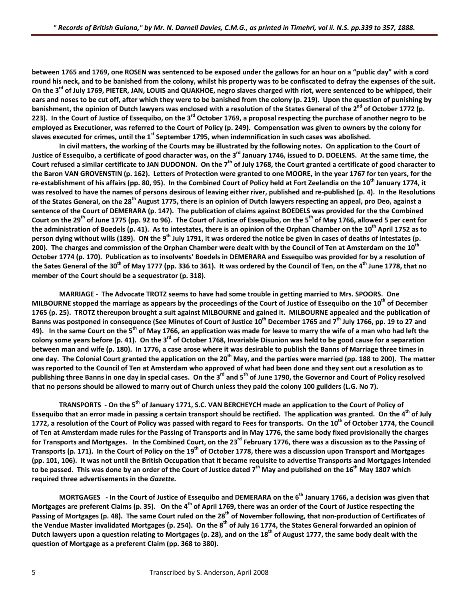between 1765 and 1769, one ROSEN was sentenced to be exposed under the gallows for an hour on a "public day" with a cord round his neck, and to be banished from the colony, whilst his property was to be confiscated to defray the expenses of the suit. On the 3<sup>rd</sup> of July 1769, PIETER, JAN, LOUIS and QUAKHOE, negro slaves charged with riot, were sentenced to be whipped, their ears and noses to be cut off, after which they were to be banished from the colony (p. 219). Upon the question of punishing by banishment, the opinion of Dutch lawyers was enclosed with a resolution of the States General of the 2<sup>nd</sup> of October 1772 (p. 223). In the Court of Justice of Essequibo, on the 3<sup>rd</sup> October 1769, a proposal respecting the purchase of another negro to be employed as Executioner, was referred to the Court of Policy (p. 249). Compensation was given to owners by the colony for slaves executed for crimes, until the 1<sup>st</sup> September 1795, when indemnification in such cases was abolished.

In civil matters, the working of the Courts may be illustrated by the following notes. On application to the Court of Justice of Essequibo, a certificate of good character was, on the 3<sup>rd</sup> January 1746, issued to D. DOELENS. At the same time, the Court refused a similar certificate to JAN DUDONON. On the 7<sup>th</sup> of July 1768, the Court granted a certificate of good character to the Baron VAN GROVENSTIN (p. 162). Letters of Protection were granted to one MOORE, in the year 1767 for ten years, for the re-establishment of his affairs (pp. 80, 95). In the Combined Court of Policy held at Fort Zeelandia on the 10<sup>th</sup> January 1774, it was resolved to have the names of persons desirous of leaving either river, published and re-published (p. 4). In the Resolutions of the States General, on the 28<sup>th</sup> August 1775, there is an opinion of Dutch lawyers respecting an appeal, pro Deo, against a sentence of the Court of DEMERARA (p. 147). The publication of claims against BOEDELS was provided for the the Combined Court on the 29<sup>th</sup> of June 1775 (pp. 92 to 96). The Court of Justice of Essequibo, on the 5<sup>th</sup> of May 1766, allowed 5 per cent for the administration of Boedels (p. 41). As to intestates, there is an opinion of the Orphan Chamber on the 10<sup>th</sup> April 1752 as to person dying without wills (189). ON the 9<sup>th</sup> July 1791, it was ordered the notice be given in cases of deaths of intestates (p. 200). The charges and commission of the Orphan Chamber were dealt with by the Council of Ten at Amsterdam on the 10<sup>th</sup> October 1774 (p. 170). Publication as to insolvents' Boedels in DEMERARA and Essequibo was provided for by a resolution of the Sates General of the 30<sup>th</sup> of May 1777 (pp. 336 to 361). It was ordered by the Council of Ten, on the 4<sup>th</sup> June 1778, that no **member of the Court should be a sequestrator (p. 318).**

MARRIAGE - The Advocate TROTZ seems to have had some trouble in getting married to Mrs. SPOORS. One MILBOURNE stopped the marriage as appears by the proceedings of the Court of Justice of Essequibo on the 10<sup>th</sup> of December 1765 (p. 25). TROTZ thereupon brought a suit against MILBOURNE and gained it. MILBOURNE appealed and the publication of Banns was postponed in consequence (See Minutes of Court of Justice 10<sup>th</sup> December 1765 and 7<sup>th</sup> July 1766, pp. 19 to 27 and 49). In the same Court on the 5<sup>th</sup> of May 1766, an application was made for leave to marry the wife of a man who had left the colony some years before (p. 41). On the 3<sup>rd</sup> of October 1768, Invariable Disunion was held to be good cause for a separation between man and wife (p. 180). In 1776, a case arose where it was desirable to publish the Banns of Marriage three times in one day. The Colonial Court granted the application on the 20<sup>th</sup> May, and the parties were married (pp. 188 to 200). The matter was reported to the Council of Ten at Amsterdam who approved of what had been done and they sent out a resolution as to publishing three Banns in one day in special cases. On the 3<sup>rd</sup> and 5<sup>th</sup> of June 1790, the Governor and Court of Policy resolved that no persons should be allowed to marry out of Church unless they paid the colony 100 guilders (L.G. No 7).

TRANSPORTS - On the 5<sup>th</sup> of January 1771, S.C. VAN BERCHEYCH made an application to the Court of Policy of Essequibo that an error made in passing a certain transport should be rectified. The application was granted. On the 4<sup>th</sup> of July 1772, a resolution of the Court of Policy was passed with regard to Fees for transports. On the 10<sup>th</sup> of October 1774, the Council of Ten at Amsterdam made rules for the Passing of Transports and in May 1776, the same body fixed provisionally the charges for Transports and Mortgages. In the Combined Court, on the 23<sup>rd</sup> February 1776, there was a discussion as to the Passing of Transports (p. 171). In the Court of Policy on the  $19<sup>th</sup>$  of October 1778, there was a discussion upon Transport and Mortgages (pp. 101, 106). It was not until the British Occupation that it became requisite to advertise Transports and Mortgages intended to be passed. This was done by an order of the Court of Justice dated 7<sup>th</sup> May and published on the 16<sup>th</sup> May 1807 which **required three advertisements in the** *Gazette.*

MORTGAGES - In the Court of Justice of Essequibo and DEMERARA on the 6<sup>th</sup> January 1766, a decision was given that Mortgages are preferent Claims (p. 35). On the 4<sup>th</sup> of April 1769, there was an order of the Court of Justice respecting the Passing of Mortgages (p. 48). The same Court ruled on the 28<sup>th</sup> of November following, that non-production of Certificates of the Vendue Master invalidated Mortgages (p. 254). On the 8<sup>th</sup> of July 16 1774, the States General forwarded an opinion of Dutch lawyers upon a question relating to Mortgages (p. 28), and on the 18<sup>th</sup> of August 1777, the same body dealt with the **question of Mortgage as a preferent Claim (pp. 368 to 380).**